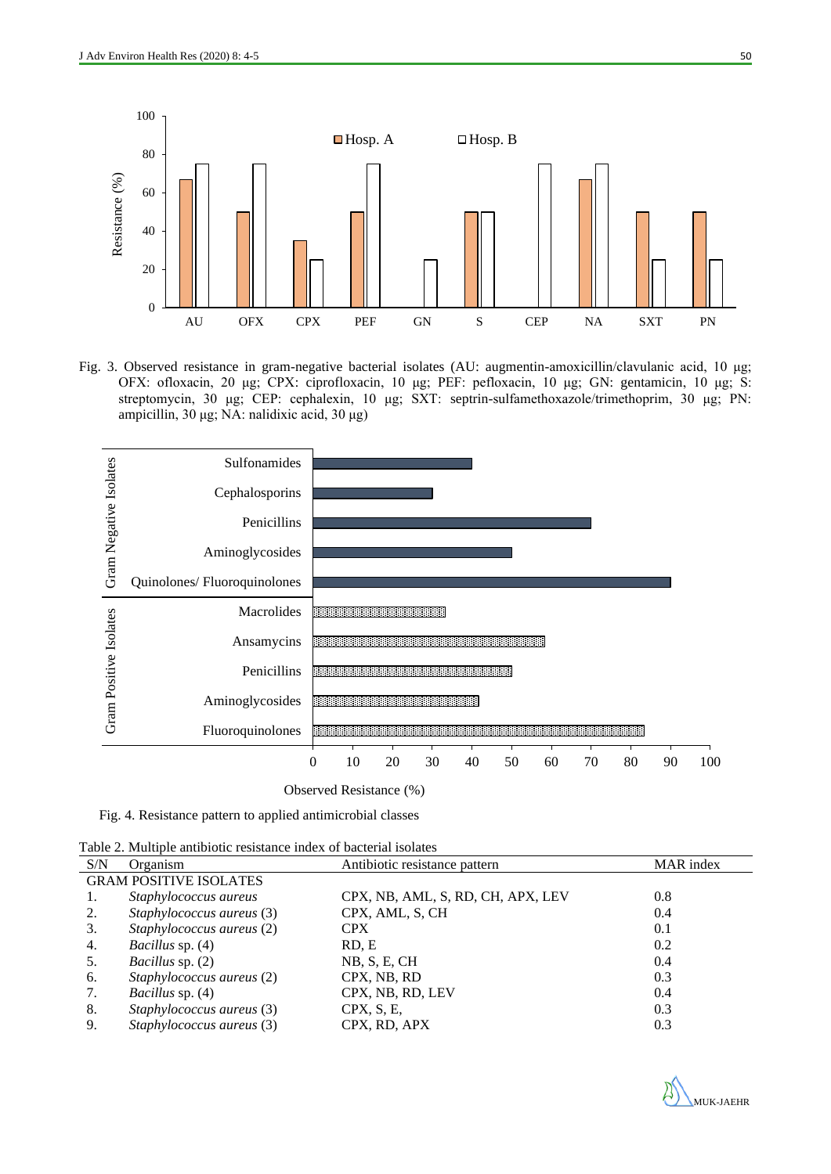

Fig. 3. Observed resistance in gram-negative bacterial isolates (AU: augmentin-amoxicillin/clavulanic acid, 10 μg; OFX: ofloxacin, 20 μg; CPX: ciprofloxacin, 10 μg; PEF: pefloxacin, 10 μg; GN: gentamicin, 10 μg; S: streptomycin, 30 μg; CEP: cephalexin, 10 μg; SXT: septrin-sulfamethoxazole/trimethoprim, 30 μg; PN: ampicillin, 30 μg; NA: nalidixic acid, 30 μg)



Fig. 4. Resistance pattern to applied antimicrobial classes

| Table 2. Multiple antibiotic resistance index of bacterial isolates |  |  |
|---------------------------------------------------------------------|--|--|
|---------------------------------------------------------------------|--|--|

| S/N | Organism                      | Antibiotic resistance pattern     | MAR index |  |  |  |
|-----|-------------------------------|-----------------------------------|-----------|--|--|--|
|     | <b>GRAM POSITIVE ISOLATES</b> |                                   |           |  |  |  |
|     | Staphylococcus aureus         | CPX, NB, AML, S, RD, CH, APX, LEV | 0.8       |  |  |  |
| 2.  | Staphylococcus aureus (3)     | CPX, AML, S, CH                   | 0.4       |  |  |  |
| 3.  | Staphylococcus aureus (2)     | <b>CPX</b>                        | 0.1       |  |  |  |
| 4.  | <i>Bacillus</i> sp. (4)       | RD, E                             | 0.2       |  |  |  |
| 5.  | Bacillus sp. (2)              | NB, S, E, CH                      | 0.4       |  |  |  |
| 6.  | Staphylococcus aureus (2)     | CPX, NB, RD                       | 0.3       |  |  |  |
| 7.  | Bacillus sp. (4)              | CPX, NB, RD, LEV                  | 0.4       |  |  |  |
| 8.  | Staphylococcus aureus (3)     | CPX, S, E,                        | 0.3       |  |  |  |
| 9.  | Staphylococcus aureus (3)     | CPX, RD, APX                      | 0.3       |  |  |  |

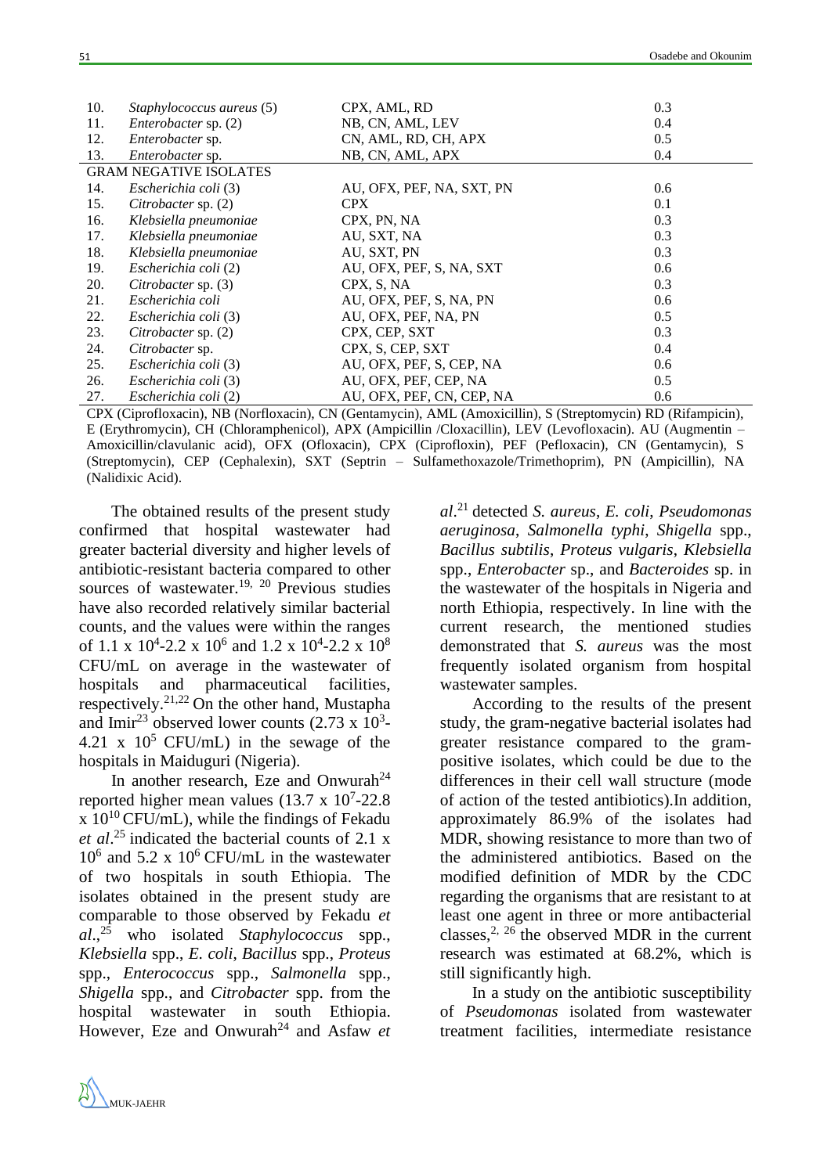| 10. | Staphylococcus aureus (5)     | CPX, AML, RD              | 0.3 |  |  |  |
|-----|-------------------------------|---------------------------|-----|--|--|--|
| 11. | Enterobacter sp. (2)          | NB, CN, AML, LEV          | 0.4 |  |  |  |
| 12. | Enterobacter sp.              | CN, AML, RD, CH, APX      | 0.5 |  |  |  |
| 13. | Enterobacter sp.              | NB, CN, AML, APX          | 0.4 |  |  |  |
|     | <b>GRAM NEGATIVE ISOLATES</b> |                           |     |  |  |  |
| 14. | Escherichia coli (3)          | AU, OFX, PEF, NA, SXT, PN | 0.6 |  |  |  |
| 15. | Citrobacter sp. (2)           | <b>CPX</b>                | 0.1 |  |  |  |
| 16. | Klebsiella pneumoniae         | CPX, PN, NA               | 0.3 |  |  |  |
| 17. | Klebsiella pneumoniae         | AU, SXT, NA               | 0.3 |  |  |  |
| 18. | Klebsiella pneumoniae         | AU, SXT, PN               | 0.3 |  |  |  |
| 19. | Escherichia coli (2)          | AU, OFX, PEF, S, NA, SXT  | 0.6 |  |  |  |
| 20. | Citrobacter sp. (3)           | CPX, S, NA                | 0.3 |  |  |  |
| 21. | Escherichia coli              | AU, OFX, PEF, S, NA, PN   | 0.6 |  |  |  |
| 22. | Escherichia coli (3)          | AU, OFX, PEF, NA, PN      | 0.5 |  |  |  |
| 23. | Citrobacter sp. (2)           | CPX, CEP, SXT             | 0.3 |  |  |  |
| 24. | Citrobacter sp.               | CPX, S, CEP, SXT          | 0.4 |  |  |  |
| 25. | Escherichia coli (3)          | AU, OFX, PEF, S, CEP, NA  | 0.6 |  |  |  |
| 26. | Escherichia coli (3)          | AU, OFX, PEF, CEP, NA     | 0.5 |  |  |  |
| 27. | Escherichia coli (2)          | AU, OFX, PEF, CN, CEP, NA | 0.6 |  |  |  |

CPX (Ciprofloxacin), NB (Norfloxacin), CN (Gentamycin), AML (Amoxicillin), S (Streptomycin) RD (Rifampicin), E (Erythromycin), CH (Chloramphenicol), APX (Ampicillin /Cloxacillin), LEV (Levofloxacin). AU (Augmentin – Amoxicillin/clavulanic acid), OFX (Ofloxacin), CPX (Ciprofloxin), PEF (Pefloxacin), CN (Gentamycin), S (Streptomycin), CEP (Cephalexin), SXT (Septrin – Sulfamethoxazole/Trimethoprim), PN (Ampicillin), NA (Nalidixic Acid).

The obtained results of the present study confirmed that hospital wastewater had greater bacterial diversity and higher levels of antibiotic-resistant bacteria compared to other sources of wastewater.<sup>19, 20</sup> Previous studies have also recorded relatively similar bacterial counts, and the values were within the ranges of 1.1 x  $10^4$ -2.2 x  $10^6$  and 1.2 x  $10^4$ -2.2 x  $10^8$ CFU/mL on average in the wastewater of hospitals and pharmaceutical facilities, respectively.<sup>21,22</sup> On the other hand, Mustapha and Imir<sup>23</sup> observed lower counts  $(2.73 \times 10^3$ -4.21 x  $10^5$  CFU/mL) in the sewage of the hospitals in Maiduguri (Nigeria).

In another research, Eze and Onwurah<sup>24</sup> reported higher mean values  $(13.7 \times 10^7 - 22.8)$  $\overline{x}$  10<sup>10</sup> CFU/mL), while the findings of Fekadu *et al*. <sup>25</sup> indicated the bacterial counts of 2.1 x 10<sup>6</sup> and 5.2 x 10<sup>6</sup> CFU/mL in the wastewater of two hospitals in south Ethiopia. The isolates obtained in the present study are comparable to those observed by Fekadu *et al*., <sup>25</sup> who isolated *Staphylococcus* spp., *Klebsiella* spp., *E. coli*, *Bacillus* spp., *Proteus* spp., *Enterococcus* spp., *Salmonella* spp., *Shigella* spp., and *Citrobacter* spp. from the hospital wastewater in south Ethiopia. However, Eze and Onwurah<sup>24</sup> and Asfaw *et* 

*al*. <sup>21</sup> detected *S. aureus*, *E. coli*, *Pseudomonas aeruginosa*, *Salmonella typhi*, *Shigella* spp., *Bacillus subtilis*, *Proteus vulgaris*, *Klebsiella*  spp., *Enterobacter* sp., and *Bacteroides* sp. in the wastewater of the hospitals in Nigeria and north Ethiopia, respectively. In line with the current research, the mentioned studies demonstrated that *S. aureus* was the most frequently isolated organism from hospital wastewater samples.

According to the results of the present study, the gram-negative bacterial isolates had greater resistance compared to the grampositive isolates, which could be due to the differences in their cell wall structure (mode of action of the tested antibiotics).In addition, approximately 86.9% of the isolates had MDR, showing resistance to more than two of the administered antibiotics. Based on the modified definition of MDR by the CDC regarding the organisms that are resistant to at least one agent in three or more antibacterial classes,<sup>2, 26</sup> the observed MDR in the current research was estimated at 68.2%, which is still significantly high.

In a study on the antibiotic susceptibility of *Pseudomonas* isolated from wastewater treatment facilities, intermediate resistance



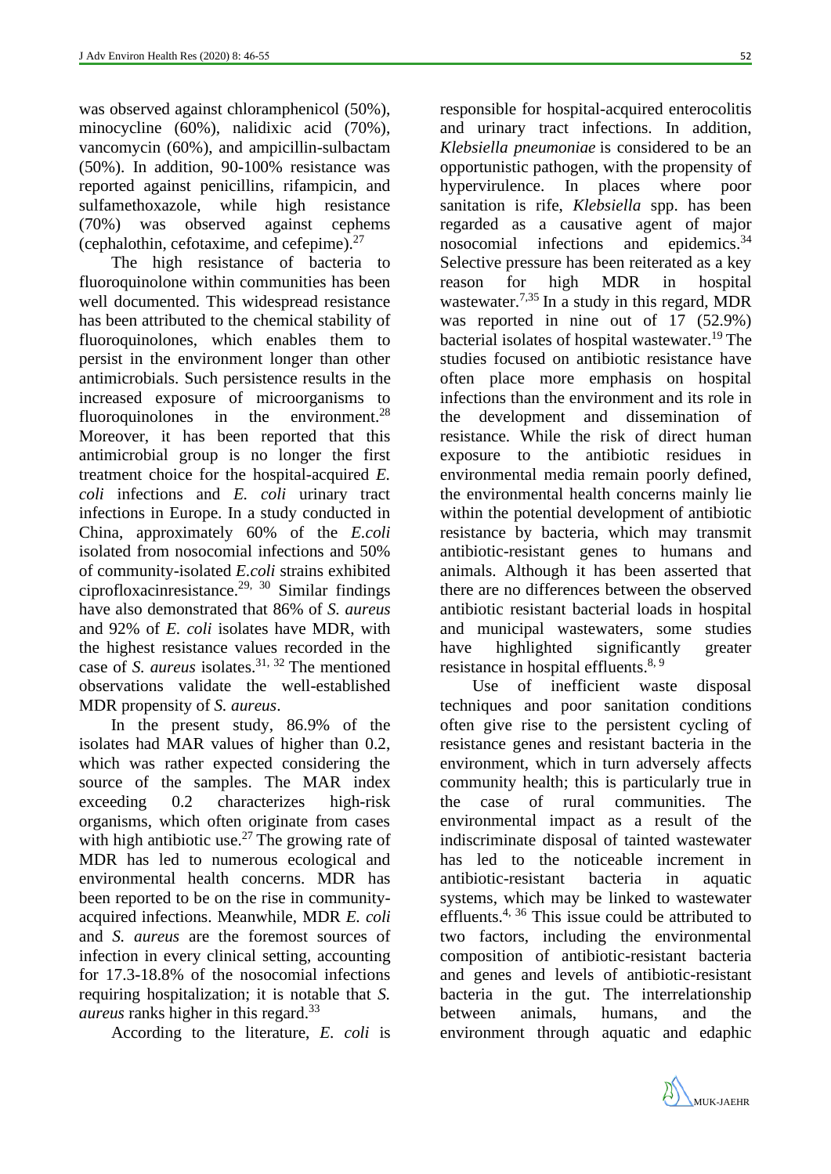was observed against chloramphenicol (50%), minocycline (60%), nalidixic acid (70%), vancomycin (60%), and ampicillin-sulbactam (50%). In addition, 90-100% resistance was reported against penicillins, rifampicin, and sulfamethoxazole, while high resistance (70%) was observed against cephems (cephalothin, cefotaxime, and cefepime). $27$ 

The high resistance of bacteria to fluoroquinolone within communities has been well documented. This widespread resistance has been attributed to the chemical stability of fluoroquinolones, which enables them to persist in the environment longer than other antimicrobials. Such persistence results in the increased exposure of microorganisms to fluoroquinolones in the environment.<sup>28</sup> Moreover, it has been reported that this antimicrobial group is no longer the first treatment choice for the hospital-acquired *E. coli* infections and *E. coli* urinary tract infections in Europe. In a study conducted in China, approximately 60% of the *E.coli* isolated from nosocomial infections and 50% of community-isolated *E.coli* strains exhibited ciprofloxacinresistance.<sup>29, 30</sup> Similar findings have also demonstrated that 86% of *S. aureus* and 92% of *E. coli* isolates have MDR, with the highest resistance values recorded in the case of *S. aureus* isolates.<sup>31, 32</sup> The mentioned observations validate the well-established MDR propensity of *S. aureus*.

In the present study, 86.9% of the isolates had MAR values of higher than 0.2, which was rather expected considering the source of the samples. The MAR index exceeding 0.2 characterizes high-risk organisms, which often originate from cases with high antibiotic use.<sup>27</sup> The growing rate of MDR has led to numerous ecological and environmental health concerns. MDR has been reported to be on the rise in communityacquired infections. Meanwhile, MDR *E. coli* and *S. aureus* are the foremost sources of infection in every clinical setting, accounting for 17.3-18.8% of the nosocomial infections requiring hospitalization; it is notable that *S. aureus* ranks higher in this regard.<sup>33</sup>

According to the literature, *E. coli* is

responsible for hospital-acquired enterocolitis and urinary tract infections. In addition, *Klebsiella pneumoniae* is considered to be an opportunistic pathogen, with the propensity of hypervirulence. In places where poor sanitation is rife, *Klebsiella* spp. has been regarded as a causative agent of major nosocomial infections and epidemics. $34$ Selective pressure has been reiterated as a key reason for high MDR in hospital wastewater.<sup>7,35</sup> In a study in this regard, MDR was reported in nine out of 17 (52.9%) bacterial isolates of hospital wastewater. <sup>19</sup> The studies focused on antibiotic resistance have often place more emphasis on hospital infections than the environment and its role in the development and dissemination of resistance. While the risk of direct human exposure to the antibiotic residues in environmental media remain poorly defined, the environmental health concerns mainly lie within the potential development of antibiotic resistance by bacteria, which may transmit antibiotic-resistant genes to humans and animals. Although it has been asserted that there are no differences between the observed antibiotic resistant bacterial loads in hospital and municipal wastewaters, some studies have highlighted significantly greater resistance in hospital effluents.<sup>8, 9</sup>

Use of inefficient waste disposal techniques and poor sanitation conditions often give rise to the persistent cycling of resistance genes and resistant bacteria in the environment, which in turn adversely affects community health; this is particularly true in the case of rural communities. The environmental impact as a result of the indiscriminate disposal of tainted wastewater has led to the noticeable increment in antibiotic-resistant bacteria in aquatic systems, which may be linked to wastewater effluents.<sup>4, 36</sup> This issue could be attributed to two factors, including the environmental composition of antibiotic-resistant bacteria and genes and levels of antibiotic-resistant bacteria in the gut. The interrelationship between animals, humans, and the environment through aquatic and edaphic

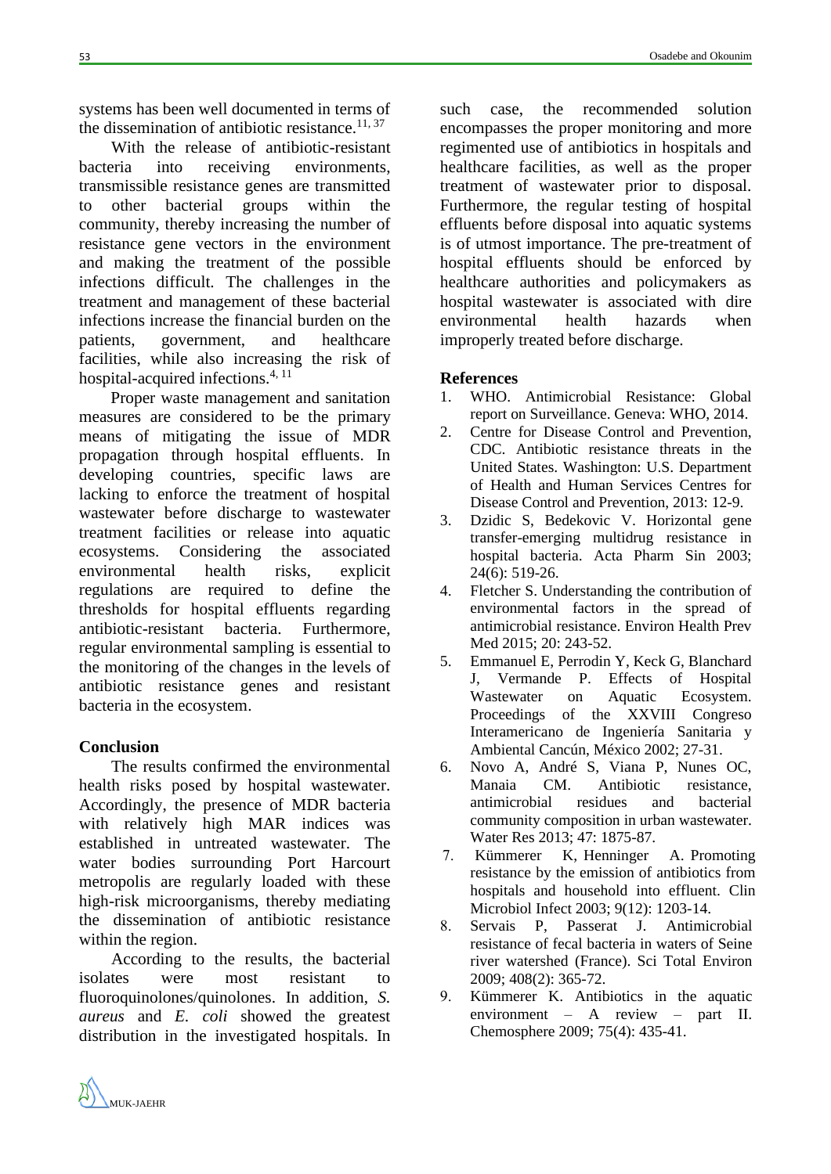systems has been well documented in terms of the dissemination of antibiotic resistance.<sup>11, 37</sup>

With the release of antibiotic-resistant bacteria into receiving environments, transmissible resistance genes are transmitted to other bacterial groups within the community, thereby increasing the number of resistance gene vectors in the environment and making the treatment of the possible infections difficult. The challenges in the treatment and management of these bacterial infections increase the financial burden on the patients, government, and healthcare facilities, while also increasing the risk of hospital-acquired infections.<sup>4, 11</sup>

Proper waste management and sanitation measures are considered to be the primary means of mitigating the issue of MDR propagation through hospital effluents. In developing countries, specific laws are lacking to enforce the treatment of hospital wastewater before discharge to wastewater treatment facilities or release into aquatic ecosystems. Considering the associated environmental health risks, explicit regulations are required to define the thresholds for hospital effluents regarding antibiotic-resistant bacteria. Furthermore, regular environmental sampling is essential to the monitoring of the changes in the levels of antibiotic resistance genes and resistant bacteria in the ecosystem.

## **Conclusion**

The results confirmed the environmental health risks posed by hospital wastewater. Accordingly, the presence of MDR bacteria with relatively high MAR indices was established in untreated wastewater. The water bodies surrounding Port Harcourt metropolis are regularly loaded with these high-risk microorganisms, thereby mediating the dissemination of antibiotic resistance within the region.

According to the results, the bacterial isolates were most resistant to fluoroquinolones/quinolones. In addition, *S. aureus* and *E. coli* showed the greatest distribution in the investigated hospitals. In such case, the recommended solution encompasses the proper monitoring and more regimented use of antibiotics in hospitals and healthcare facilities, as well as the proper treatment of wastewater prior to disposal. Furthermore, the regular testing of hospital effluents before disposal into aquatic systems is of utmost importance. The pre-treatment of hospital effluents should be enforced by healthcare authorities and policymakers as hospital wastewater is associated with dire environmental health hazards when improperly treated before discharge.

## **References**

- 1. WHO. Antimicrobial Resistance: Global report on Surveillance. Geneva: WHO, 2014.
- 2. Centre for Disease Control and Prevention, CDC. Antibiotic resistance threats in the United States. Washington: U.S. Department of Health and Human Services Centres for Disease Control and Prevention, 2013: 12-9.
- 3. Dzidic S, Bedekovic V. Horizontal gene transfer-emerging multidrug resistance in hospital bacteria. Acta Pharm Sin 2003; 24(6): 519-26.
- 4. Fletcher S. Understanding the contribution of environmental factors in the spread of antimicrobial resistance. Environ Health Prev Med 2015; 20: 243-52.
- 5. Emmanuel E, Perrodin Y, Keck G, Blanchard J, Vermande P. Effects of Hospital Wastewater on Aquatic Ecosystem. Proceedings of the XXVIII Congreso Interamericano de Ingeniería Sanitaria y Ambiental Cancún, México 2002; 27-31.
- 6. Novo A, André S, Viana P, Nunes OC, Manaia CM. Antibiotic resistance, antimicrobial residues and bacterial community composition in urban wastewater. Water Res 2013; 47: 1875-87.
- 7. Kümmerer K, Henninger A. Promoting resistance by the emission of antibiotics from hospitals and household into effluent. Clin Microbiol Infect 2003; 9(12): 1203-14.
- 8. Servais P, Passerat J. Antimicrobial resistance of fecal bacteria in waters of Seine river watershed (France). Sci Total Environ 2009; 408(2): 365-72.
- 9. Kümmerer K. Antibiotics in the aquatic environment – A review – part II. Chemosphere 2009; 75(4): 435-41.

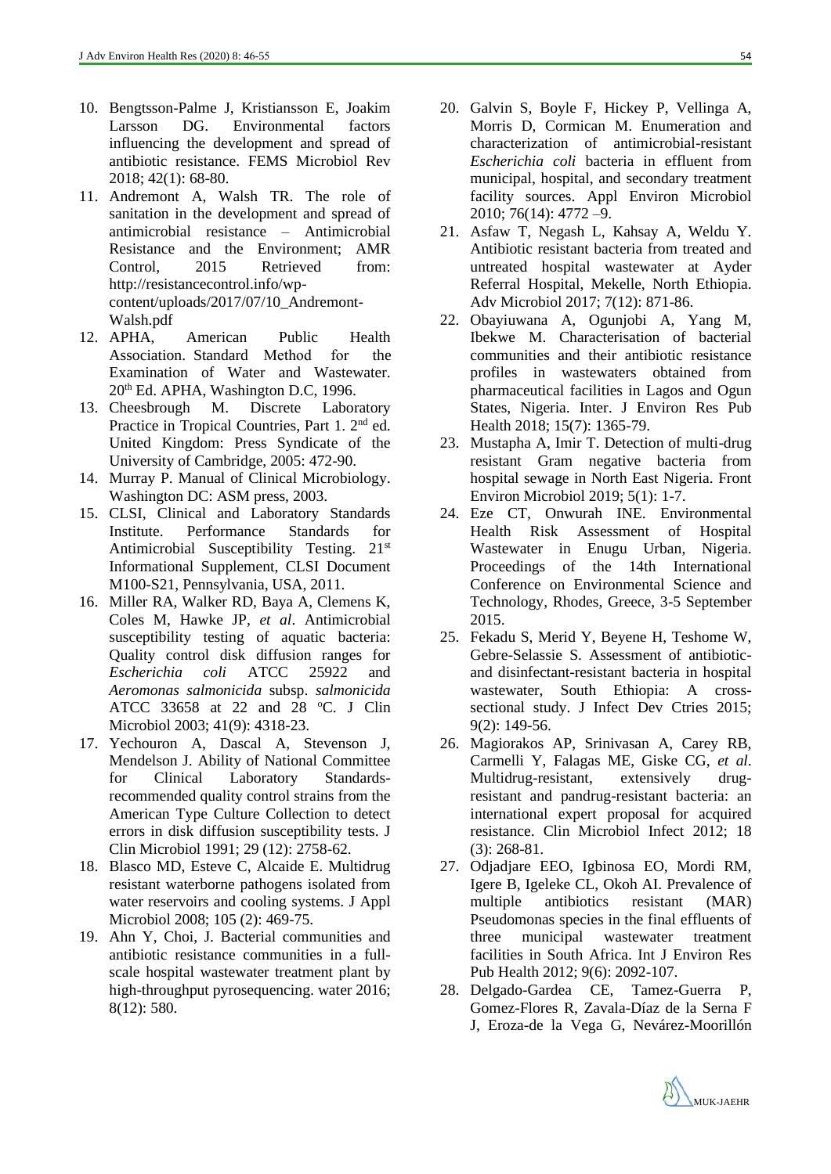- 10. Bengtsson-Palme J, Kristiansson E, Joakim Larsson DG. Environmental factors influencing the development and spread of antibiotic resistance. FEMS Microbiol Rev 2018; 42(1): 68-80.
- 11. Andremont A, Walsh TR. The role of sanitation in the development and spread of antimicrobial resistance – Antimicrobial Resistance and the Environment; AMR Control, 2015 Retrieved from: [http://resistancecontrol.info/wp](http://resistancecontrol.info/wp-content/uploads/2017/07/10_Andremont-Walsh.pdf)[content/uploads/2017/07/10\\_Andremont-](http://resistancecontrol.info/wp-content/uploads/2017/07/10_Andremont-Walsh.pdf)[Walsh.pdf](http://resistancecontrol.info/wp-content/uploads/2017/07/10_Andremont-Walsh.pdf)
- 12. APHA, American Public Health Association. Standard Method for the Examination of Water and Wastewater. 20th Ed. APHA, Washington D.C, 1996.
- 13. Cheesbrough M. Discrete Laboratory Practice in Tropical Countries, Part 1. 2<sup>nd</sup> ed. United Kingdom: Press Syndicate of the University of Cambridge, 2005: 472-90.
- 14. Murray P. Manual of Clinical Microbiology. Washington DC: ASM press, 2003.
- 15. CLSI, Clinical and Laboratory Standards Institute. Performance Standards for Antimicrobial Susceptibility Testing. 21<sup>st</sup> Informational Supplement, CLSI Document M100-S21, Pennsylvania, USA, 2011.
- 16. Miller RA, Walker RD, Baya A, Clemens K, Coles M, Hawke JP, *et al*. Antimicrobial susceptibility testing of aquatic bacteria: Quality control disk diffusion ranges for *Escherichia coli* ATCC 25922 and *Aeromonas salmonicida* subsp. *salmonicida* ATCC 33658 at 22 and 28 °C. J Clin Microbiol 2003; 41(9): 4318-23.
- 17. Yechouron A, Dascal A, Stevenson J, Mendelson J. Ability of National Committee for Clinical Laboratory Standardsrecommended quality control strains from the American Type Culture Collection to detect errors in disk diffusion susceptibility tests. J Clin Microbiol 1991; 29 (12): 2758-62.
- 18. Blasco MD, Esteve C, Alcaide E. Multidrug resistant waterborne pathogens isolated from water reservoirs and cooling systems. J Appl Microbiol 2008; 105 (2): 469-75.
- 19. Ahn Y, Choi, J. Bacterial communities and antibiotic resistance communities in a fullscale hospital wastewater treatment plant by high-throughput pyrosequencing. water 2016; 8(12): 580.
- 20. Galvin S, Boyle F, Hickey P, Vellinga A, Morris D, Cormican M. Enumeration and characterization of antimicrobial-resistant *Escherichia coli* bacteria in effluent from municipal, hospital, and secondary treatment facility sources. Appl Environ Microbiol 2010; 76(14): 4772 –9.
- 21. Asfaw T, Negash L, Kahsay A, Weldu Y. Antibiotic resistant bacteria from treated and untreated hospital wastewater at Ayder Referral Hospital, Mekelle, North Ethiopia. Adv Microbiol 2017; 7(12): 871-86.
- 22. Obayiuwana A, Ogunjobi A, Yang M, Ibekwe M. Characterisation of bacterial communities and their antibiotic resistance profiles in wastewaters obtained from pharmaceutical facilities in Lagos and Ogun States, Nigeria. Inter. J Environ Res Pub Health 2018; 15(7): 1365-79.
- 23. Mustapha A, Imir T. Detection of multi-drug resistant Gram negative bacteria from hospital sewage in North East Nigeria. Front Environ Microbiol 2019; 5(1): 1-7.
- 24. Eze CT, Onwurah INE. Environmental Health Risk Assessment of Hospital Wastewater in Enugu Urban, Nigeria. Proceedings of the 14th International Conference on Environmental Science and Technology, Rhodes, Greece, 3-5 September 2015.
- 25. Fekadu S, Merid Y, Beyene H, Teshome W, Gebre-Selassie S. Assessment of antibioticand disinfectant-resistant bacteria in hospital wastewater, South Ethiopia: A crosssectional study. J Infect Dev Ctries 2015; 9(2): 149-56.
- 26. Magiorakos AP, Srinivasan A, Carey RB, Carmelli Y, Falagas ME, Giske CG, *et al*. Multidrug-resistant, extensively drugresistant and pandrug-resistant bacteria: an international expert proposal for acquired resistance. Clin Microbiol Infect 2012; 18 (3): 268-81.
- 27. Odjadjare EEO, Igbinosa EO, Mordi RM, Igere B, Igeleke CL, Okoh AI. Prevalence of multiple antibiotics resistant (MAR) Pseudomonas species in the final effluents of three municipal wastewater treatment facilities in South Africa. Int J Environ Res Pub Health 2012; 9(6): 2092-107.
- 28. Delgado-Gardea CE, Tamez-Guerra P, Gomez-Flores R, Zavala-Díaz de la Serna F J, Eroza-de la Vega G, Nevárez-Moorillón